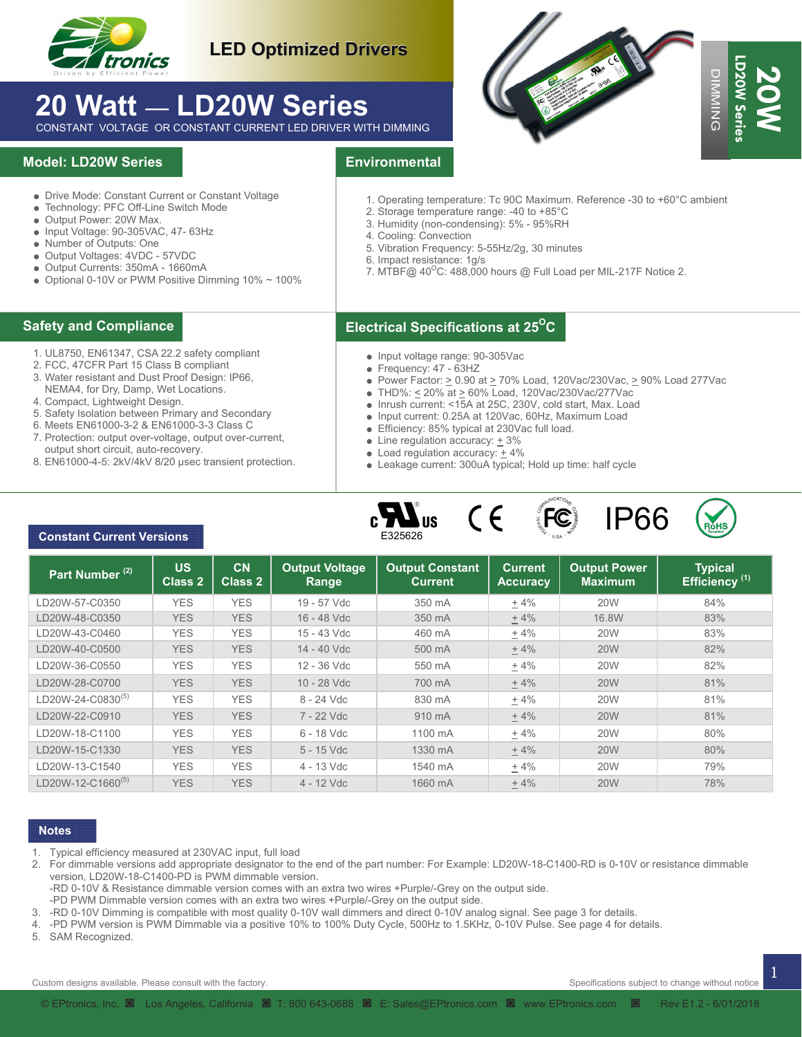

### **LED Optimized Drivers**

# **20 Watt** — **LD20W Series**

### **Model: LD20W Series**

- Drive Mode: Constant Current or Constant Voltage
- Technology: PFC Off-Line Switch Mode
- Output Power: 20W Max.
- Input Voltage: 90-305VAC, 47- 63Hz
- Number of Outputs: One
- Output Voltages: 4VDC 57VDC ● Output Currents: 350mA - 1660mA
- $\bullet$  Optional 0-10V or PWM Positive Dimming 10%  $\sim$  100%

- 1. UL8750, EN61347, CSA 22.2 safety compliant
- 2. FCC, 47CFR Part 15 Class B compliant
- 3. Water resistant and Dust Proof Design: IP66,
- NEMA4, for Dry, Damp, Wet Locations.
- 4. Compact, Lightweight Design.
- 5. Safety Isolation between Primary and Secondary
- 6. Meets EN61000-3-2 & EN61000-3-3 Class C
- 7. Protection: output over-voltage, output over-current, output short circuit, auto-recovery.
- 8. EN61000-4-5: 2kV/4kV 8/20 µsec transient protection.

### **Environmental**

- 1. Operating temperature: Tc 90C Maximum. Reference -30 to +60°C ambient
- 2. Storage temperature range: -40 to +85°C
- 3. Humidity (non-condensing): 5% 95%RH
- 4. Cooling: Convection
- 5. Vibration Frequency: 5-55Hz/2g, 30 minutes
- 6. Impact resistance: 1g/s
- 7. MTBF@  $40^{\circ}$ C: 488,000 hours @ Full Load per MIL-217F Notice 2.

### **Electrical Specifications at 25O Safety and Compliance C**

- Input voltage range: 90-305Vac
- Frequency: 47 63HZ
- Power Factor:  $\geq$  0.90 at  $\geq$  70% Load, 120Vac/230Vac,  $\geq$  90% Load 277Vac
- THD%:  $\leq$  20% at  $\geq$  60% Load, 120Vac/230Vac/277Vac
- $\bullet$  Inrush current: <15A at 25C, 230V, cold start, Max. Load
- Input current: 0.25A at 120Vac, 60Hz, Maximum Load
- Efficiency: 85% typical at 230Vac full load.
- Line regulation accuracy:  $\pm$  3%
- $\bullet$  Load regulation accuracy:  $+4\%$
- Leakage current: 300uA typical; Hold up time: half cycle







### **Constant Current Versions**

| • Output Power: 20W Max.<br>• Input Voltage: 90-305VAC, 47- 63Hz<br>• Number of Outputs: One<br>• Output Voltages: 4VDC - 57VDC<br>· Output Currents: 350mA - 1660mA<br>• Optional 0-10V or PWM Positive Dimming 10% ~ 100%                                                                                                                                                                                                                                                              |                             | • Drive Mode: Constant Current or Constant Voltage<br>· Technology: PFC Off-Line Switch Mode |                                | <b>Environmental</b><br>1. Operating temperature: Tc 90C Maximum. Reference -30 to +60°C ambient<br>2. Storage temperature range: -40 to +85°C                                                                                                                                                                                                                                                                                                                                                                                     |                                   |                                       |                                             |
|------------------------------------------------------------------------------------------------------------------------------------------------------------------------------------------------------------------------------------------------------------------------------------------------------------------------------------------------------------------------------------------------------------------------------------------------------------------------------------------|-----------------------------|----------------------------------------------------------------------------------------------|--------------------------------|------------------------------------------------------------------------------------------------------------------------------------------------------------------------------------------------------------------------------------------------------------------------------------------------------------------------------------------------------------------------------------------------------------------------------------------------------------------------------------------------------------------------------------|-----------------------------------|---------------------------------------|---------------------------------------------|
|                                                                                                                                                                                                                                                                                                                                                                                                                                                                                          |                             |                                                                                              |                                | 3. Humidity (non-condensing): 5% - 95%RH<br>4. Cooling: Convection<br>5. Vibration Frequency: 5-55Hz/2g, 30 minutes<br>6. Impact resistance: 1g/s<br>7. MTBF@ 40°C: 488,000 hours @ Full Load per MIL-217F Notice 2.                                                                                                                                                                                                                                                                                                               |                                   |                                       |                                             |
| Safety and Compliance                                                                                                                                                                                                                                                                                                                                                                                                                                                                    |                             |                                                                                              |                                | <b>Electrical Specifications at 25<sup>o</sup>C</b>                                                                                                                                                                                                                                                                                                                                                                                                                                                                                |                                   |                                       |                                             |
| 1. UL8750, EN61347, CSA 22.2 safety compliant<br>2. FCC, 47CFR Part 15 Class B compliant<br>3. Water resistant and Dust Proof Design: IP66,<br>NEMA4, for Dry, Damp, Wet Locations.<br>4. Compact, Lightweight Design.<br>5. Safety Isolation between Primary and Secondary<br>6. Meets EN61000-3-2 & EN61000-3-3 Class C<br>7. Protection: output over-voltage, output over-current,<br>output short circuit, auto-recovery.<br>8. EN61000-4-5: 2kV/4kV 8/20 usec transient protection. |                             |                                                                                              |                                | • Input voltage range: 90-305Vac<br>$\bullet$ Frequency: 47 - 63HZ<br>• Power Factor: $\geq$ 0.90 at $\geq$ 70% Load, 120Vac/230Vac, $\geq$ 90% Load 277Vac<br>■ THD%: ≤ 20% at ≥ 60% Load, 120Vac/230Vac/277Vac<br>• Inrush current: <15A at 25C, 230V, cold start, Max. Load<br>• Input current: 0.25A at 120Vac, 60Hz, Maximum Load<br>• Efficiency: 85% typical at 230Vac full load.<br>• Line regulation accuracy: $+3\%$<br>• Load regulation accuracy: $+4\%$<br>• Leakage current: 300uA typical; Hold up time: half cycle |                                   |                                       |                                             |
|                                                                                                                                                                                                                                                                                                                                                                                                                                                                                          |                             |                                                                                              |                                | $\epsilon$<br>$\boldsymbol{\mathbf{M}}$ <sub>us</sub>                                                                                                                                                                                                                                                                                                                                                                                                                                                                              | <b>FC</b>                         | <b>IP66</b>                           |                                             |
| <b>Constant Current Versions</b>                                                                                                                                                                                                                                                                                                                                                                                                                                                         |                             |                                                                                              |                                | E325626                                                                                                                                                                                                                                                                                                                                                                                                                                                                                                                            |                                   |                                       | RŏH:                                        |
| Part Number <sup>(2)</sup>                                                                                                                                                                                                                                                                                                                                                                                                                                                               | <b>US</b><br><b>Class 2</b> | CN<br>Class <sub>2</sub>                                                                     | <b>Output Voltage</b><br>Range | <b>Output Constant</b><br><b>Current</b>                                                                                                                                                                                                                                                                                                                                                                                                                                                                                           | <b>Current</b><br><b>Accuracy</b> | <b>Output Power</b><br><b>Maximum</b> | <b>Typical</b><br>Efficiency <sup>(1)</sup> |
| LD20W-57-C0350                                                                                                                                                                                                                                                                                                                                                                                                                                                                           | <b>YES</b>                  | <b>YES</b>                                                                                   | 19 - 57 Vdc                    | 350 mA                                                                                                                                                                                                                                                                                                                                                                                                                                                                                                                             | $+4%$                             | <b>20W</b>                            | 84%                                         |
|                                                                                                                                                                                                                                                                                                                                                                                                                                                                                          | <b>YES</b>                  | <b>YES</b>                                                                                   | 16 - 48 Vdc                    | 350 mA                                                                                                                                                                                                                                                                                                                                                                                                                                                                                                                             | $+4%$                             | 16.8W                                 | 83%                                         |
|                                                                                                                                                                                                                                                                                                                                                                                                                                                                                          | <b>YES</b>                  | <b>YES</b>                                                                                   | 15 - 43 Vdc                    | 460 mA                                                                                                                                                                                                                                                                                                                                                                                                                                                                                                                             | $+4%$                             | <b>20W</b>                            | 83%                                         |
|                                                                                                                                                                                                                                                                                                                                                                                                                                                                                          | <b>YES</b>                  | <b>YES</b>                                                                                   | 14 - 40 Vdc                    | 500 mA                                                                                                                                                                                                                                                                                                                                                                                                                                                                                                                             | $+4%$                             | <b>20W</b>                            | 82%                                         |
|                                                                                                                                                                                                                                                                                                                                                                                                                                                                                          | <b>YES</b>                  | <b>YES</b>                                                                                   | 12 - 36 Vdc                    | 550 mA                                                                                                                                                                                                                                                                                                                                                                                                                                                                                                                             | $+4%$                             | <b>20W</b>                            | 82%                                         |
|                                                                                                                                                                                                                                                                                                                                                                                                                                                                                          | <b>YES</b>                  | <b>YES</b>                                                                                   | 10 - 28 Vdc                    | 700 mA                                                                                                                                                                                                                                                                                                                                                                                                                                                                                                                             | $+4%$                             | <b>20W</b>                            | 81%                                         |
|                                                                                                                                                                                                                                                                                                                                                                                                                                                                                          | <b>YES</b>                  | <b>YES</b>                                                                                   | 8 - 24 Vdc                     | 830 mA                                                                                                                                                                                                                                                                                                                                                                                                                                                                                                                             | $+4%$                             | <b>20W</b>                            | 81%                                         |
|                                                                                                                                                                                                                                                                                                                                                                                                                                                                                          | <b>YES</b><br><b>YES</b>    | <b>YES</b><br><b>YES</b>                                                                     | 7 - 22 Vdc<br>6 - 18 Vdc       | 910 mA<br>1100 mA                                                                                                                                                                                                                                                                                                                                                                                                                                                                                                                  | ± 4%                              | <b>20W</b><br><b>20W</b>              | 81%<br>80%                                  |
|                                                                                                                                                                                                                                                                                                                                                                                                                                                                                          | <b>YES</b>                  | <b>YES</b>                                                                                   | 5 - 15 Vdc                     | 1330 mA                                                                                                                                                                                                                                                                                                                                                                                                                                                                                                                            | $+4%$<br>± 4%                     | <b>20W</b>                            | 80%                                         |
| LD20W-48-C0350<br>LD20W-43-C0460<br>LD20W-40-C0500<br>LD20W-36-C0550<br>LD20W-28-C0700<br>LD20W-24-C0830 <sup>(5)</sup><br>LD20W-22-C0910<br>LD20W-18-C1100<br>LD20W-15-C1330<br>LD20W-13-C1540                                                                                                                                                                                                                                                                                          | <b>YES</b>                  | <b>YES</b>                                                                                   | 4 - 13 Vdc                     | 1540 mA                                                                                                                                                                                                                                                                                                                                                                                                                                                                                                                            | $+4%$                             | <b>20W</b>                            | 79%                                         |

#### **Notes**

- 1. Typical efficiency measured at 230VAC input, full load
- 2. For dimmable versions add appropriate designator to the end of the part number: For Example: LD20W-18-C1400-RD is 0-10V or resistance dimmable version, LD20W-18-C1400-PD is PWM dimmable version.
	- -RD 0-10V & Resistance dimmable version comes with an extra two wires +Purple/-Grey on the output side.
	- -PD PWM Dimmable version comes with an extra two wires +Purple/-Grey on the output side.
- 3. -RD 0-10V Dimming is compatible with most quality 0-10V wall dimmers and direct 0-10V analog signal. See page 3 for details.
- 4. -PD PWM version is PWM Dimmable via a positive 10% to 100% Duty Cycle, 500Hz to 1.5KHz, 0-10V Pulse. See page 4 for details.
- 5. SAM Recognized.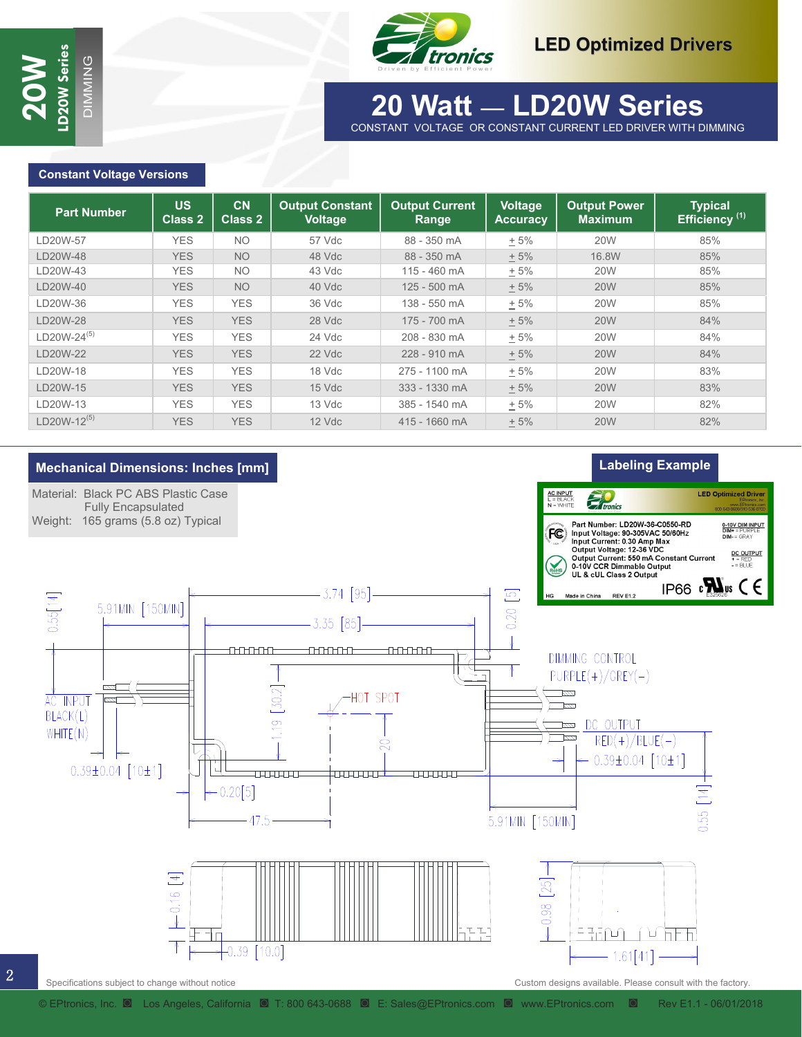

2



### **30 Watt - LD30W Series 20 Watt** — **LD20W Series** CONSTANT VOLTAGE OR CONSTANT CURRENT LED DRIVER WITH DIMMING

### **Constant Voltage Versions**

| <b>Part Number</b>      | <b>US</b><br><b>Class 2</b> | CN<br><b>Class 2</b> | <b>Output Constant</b><br><b>Voltage</b> | <b>Output Current</b><br>Range | Voltage<br><b>Accuracy</b> | <b>Output Power</b><br><b>Maximum</b> | <b>Typical</b><br>Efficiency <sup>(1)</sup> |
|-------------------------|-----------------------------|----------------------|------------------------------------------|--------------------------------|----------------------------|---------------------------------------|---------------------------------------------|
| D20W-57                 | <b>YES</b>                  | <b>NO</b>            | 57 Vdc                                   | 88 - 350 mA                    | $+5%$                      | <b>20W</b>                            | 85%                                         |
| LD20W-48                | <b>YES</b>                  | <b>NO</b>            | 48 Vdc                                   | 88 - 350 mA                    | $+5%$                      | 16.8W                                 | 85%                                         |
| LD20W-43                | <b>YES</b>                  | <b>NO</b>            | 43 Vdc                                   | 115 - 460 mA                   | $+5%$                      | <b>20W</b>                            | 85%                                         |
| LD20W-40                | <b>YES</b>                  | <b>NO</b>            | 40 Vdc                                   | 125 - 500 mA                   | $+5%$                      | <b>20W</b>                            | 85%                                         |
| LD20W-36                | <b>YES</b>                  | <b>YES</b>           | 36 Vdc                                   | 138 - 550 mA                   | $+5%$                      | <b>20W</b>                            | 85%                                         |
| LD20W-28                | <b>YES</b>                  | <b>YES</b>           | 28 Vdc                                   | 175 - 700 mA                   | $+5%$                      | <b>20W</b>                            | 84%                                         |
| LD20W-24 <sup>(5)</sup> | <b>YES</b>                  | <b>YES</b>           | 24 Vdc                                   | 208 - 830 mA                   | $+5%$                      | <b>20W</b>                            | 84%                                         |
| LD20W-22                | <b>YES</b>                  | <b>YES</b>           | 22 Vdc                                   | 228 - 910 mA                   | $+5%$                      | <b>20W</b>                            | 84%                                         |
| LD20W-18                | <b>YES</b>                  | <b>YES</b>           | 18 Vdc                                   | 275 - 1100 mA                  | $+5%$                      | <b>20W</b>                            | 83%                                         |
| LD20W-15                | <b>YES</b>                  | <b>YES</b>           | $15$ Vdc                                 | 333 - 1330 mA                  | $+5%$                      | <b>20W</b>                            | 83%                                         |
| LD20W-13                | <b>YES</b>                  | <b>YES</b>           | 13 Vdc                                   | 385 - 1540 mA                  | $+5%$                      | <b>20W</b>                            | 82%                                         |
| $LD20W-12^{(5)}$        | <b>YES</b>                  | <b>YES</b>           | 12 Vdc                                   | 415 - 1660 mA                  | ± 5%                       | <b>20W</b>                            | 82%                                         |

MING

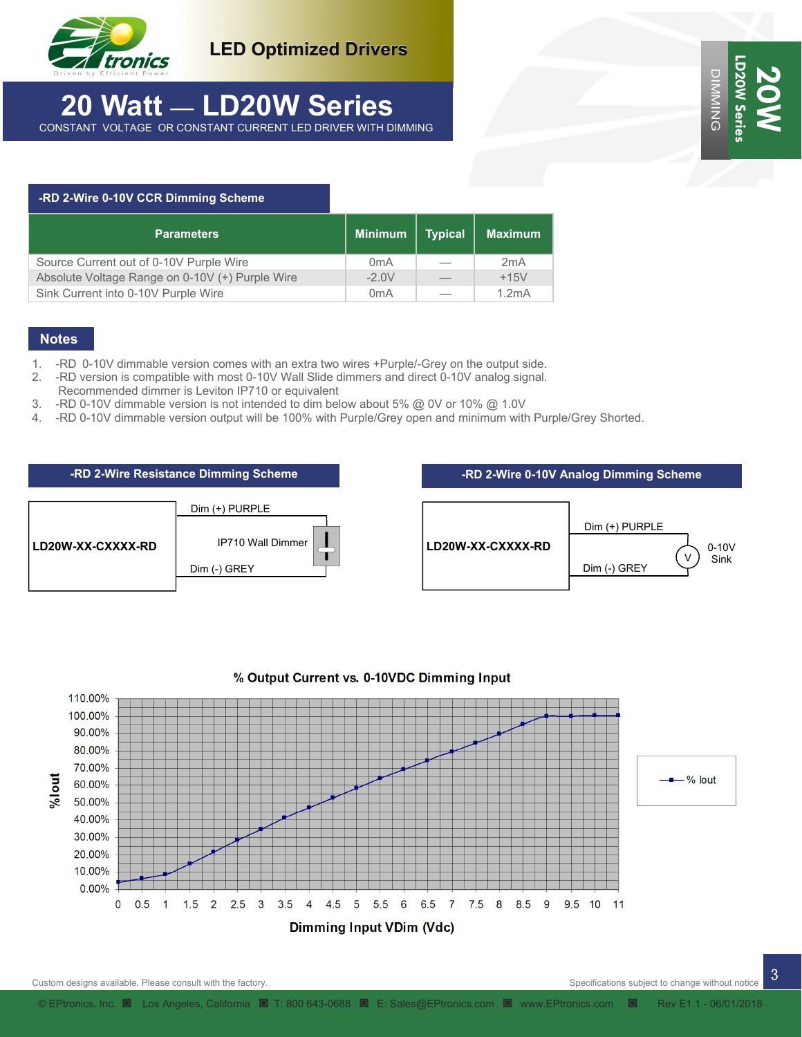

**LED Optimized Drivers**

### **20 Watt** — **LD20W Series** CONSTANT VOLTAGE OR CONSTANT CURRENT LED DRIVER WITH DIMMING

## **-RD 2-Wire 0-10V CCR Dimming Scheme Parameters Minimum | Typical | Maximum** Source Current out of 0-10V Purple Wire 0mA – 2mA

1. -RD 0-10V dimmable version comes with an extra two wires +Purple/-Grey on the output side.

Absolute Voltage Range on 0-10V (+) Purple Wire -2.0V — +15V Sink Current into 0-10V Purple Wire **1.2mA**  $\vert$  0mA  $\vert$  - 1.2mA

- 2. -RD version is compatible with most 0-10V Wall Slide dimmers and direct 0-10V analog signal.
- Recommended dimmer is Leviton IP710 or equivalent
- 3. -RD 0-10V dimmable version is not intended to dim below about 5% @ 0V or 10% @ 1.0V
- 4. -RD 0-10V dimmable version output will be 100% with Purple/Grey open and minimum with Purple/Grey Shorted.





### % Output Current vs. 0-10VDC Dimming Input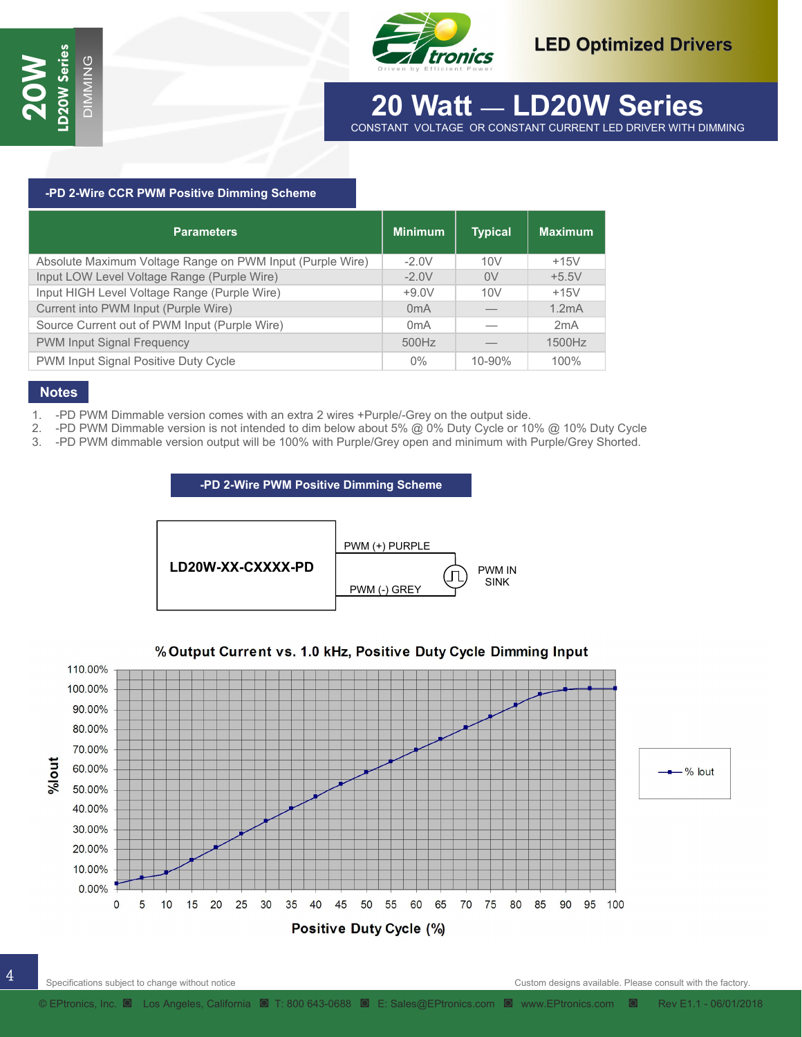

### **30 Watt - LD30W Series 20 Watt** — **LD20W Series** CONSTANT VOLTAGE OR CONSTANT CURRENT LED DRIVER WITH DIMMING

#### **-PD 2-Wire CCR PWM Positive Dimming Scheme**

| <b>Parameters</b>                                         | <b>Minimum</b>   | <b>Typical</b> | <b>Maximum</b> |
|-----------------------------------------------------------|------------------|----------------|----------------|
| Absolute Maximum Voltage Range on PWM Input (Purple Wire) | $-2.0V$          | 10V            | $+15V$         |
| Input LOW Level Voltage Range (Purple Wire)               | $-2.0V$          | 0V             | $+5.5V$        |
| Input HIGH Level Voltage Range (Purple Wire)              | $+9.0V$          | 10V            | $+15V$         |
| Current into PWM Input (Purple Wire)                      | 0 <sub>m</sub> A |                | 1.2mA          |
| Source Current out of PWM Input (Purple Wire)             | 0 <sub>m</sub> A |                | 2mA            |
| PWM Input Signal Frequency                                | 500Hz            |                | 1500Hz         |
| PWM Input Signal Positive Duty Cycle                      | $0\%$            | 10-90%         | 100%           |

MING

### **Notes**

- 1. -PD PWM Dimmable version comes with an extra 2 wires +Purple/-Grey on the output side.
- 2. -PD PWM Dimmable version is not intended to dim below about 5% @ 0% Duty Cycle or 10% @ 10% Duty Cycle
- 3. -PD PWM dimmable version output will be 100% with Purple/Grey open and minimum with Purple/Grey Shorted.

#### **-PD 2-Wire PWM Positive Dimming Scheme**



### % Output Current vs. 1.0 kHz, Positive Duty Cycle Dimming Input

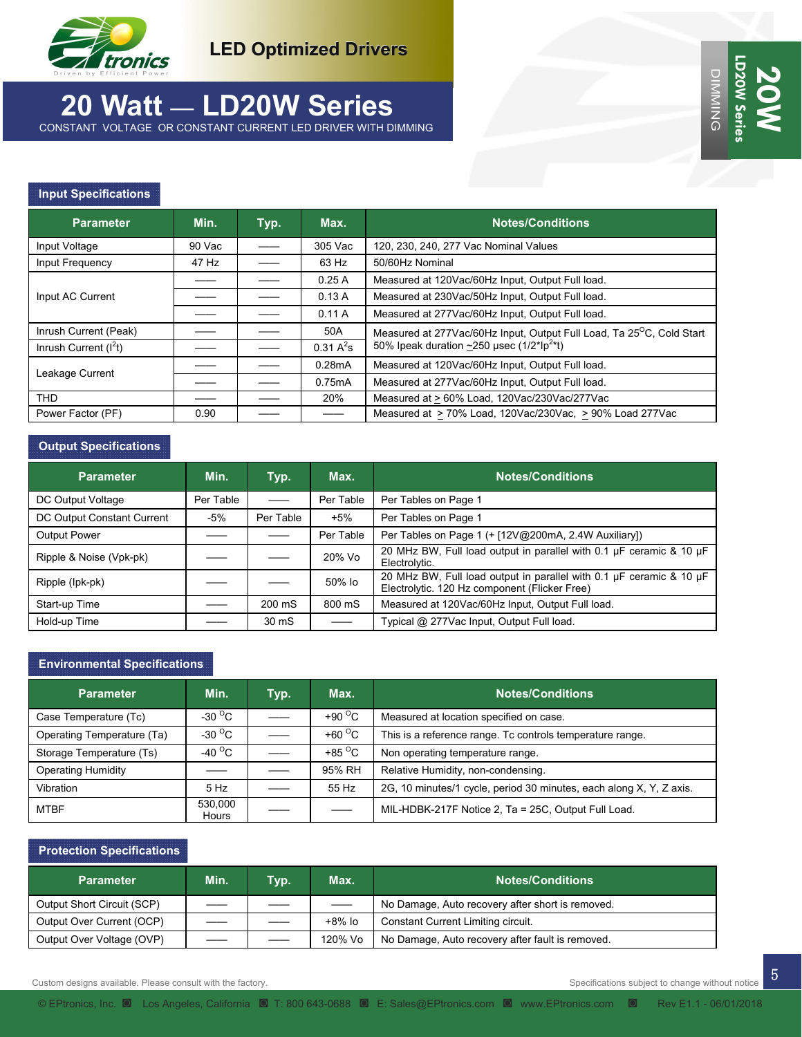

### **20 Watt** — **LD20W Series** CONSTANT VOLTAGE OR CONSTANT CURRENT LED DRIVER WITH DIMMING

### **Input Specifications**

| <b>Parameter</b>       | Min.   | Typ. | Max.         | <b>Notes/Conditions</b>                                                           |  |
|------------------------|--------|------|--------------|-----------------------------------------------------------------------------------|--|
| Input Voltage          | 90 Vac |      | 305 Vac      | 120, 230, 240, 277 Vac Nominal Values                                             |  |
| Input Frequency        | 47 Hz  |      | 63 Hz        | 50/60Hz Nominal                                                                   |  |
| Input AC Current       |        |      | 0.25A        | Measured at 120Vac/60Hz Input, Output Full load.                                  |  |
|                        |        |      | 0.13A        | Measured at 230Vac/50Hz Input, Output Full load.                                  |  |
|                        |        |      | 0.11A        | Measured at 277Vac/60Hz Input, Output Full load.                                  |  |
| Inrush Current (Peak)  |        |      | 50A          | Measured at 277Vac/60Hz Input, Output Full Load, Ta 25 <sup>o</sup> C, Cold Start |  |
| Inrush Current $(I2t)$ |        |      | $0.31 A^2$ s | 50% Ipeak duration ~250 usec (1/2*Ip <sup>2*</sup> t)                             |  |
| Leakage Current        |        |      | 0.28mA       | Measured at 120Vac/60Hz Input, Output Full load.                                  |  |
|                        |        |      | 0.75mA       | Measured at 277Vac/60Hz Input, Output Full load.                                  |  |
| <b>THD</b>             |        |      | 20%          | Measured at > 60% Load, 120Vac/230Vac/277Vac                                      |  |
| Power Factor (PF)      | 0.90   |      |              | Measured at > 70% Load, 120Vac/230Vac, > 90% Load 277Vac                          |  |

#### **Output Specifications**

| <b>Parameter</b>           | Min.      | Typ.      | Max.      | <b>Notes/Conditions</b>                                                                                              |
|----------------------------|-----------|-----------|-----------|----------------------------------------------------------------------------------------------------------------------|
| DC Output Voltage          | Per Table |           | Per Table | Per Tables on Page 1                                                                                                 |
| DC Output Constant Current | -5%       | Per Table | $+5%$     | Per Tables on Page 1                                                                                                 |
| <b>Output Power</b>        |           |           | Per Table | Per Tables on Page 1 (+ [12V@200mA, 2.4W Auxiliary])                                                                 |
| Ripple & Noise (Vpk-pk)    |           |           | 20% Vo    | 20 MHz BW, Full load output in parallel with 0.1 µF ceramic & 10 µF<br>Electrolytic.                                 |
| Ripple (lpk-pk)            |           |           | 50% lo    | 20 MHz BW, Full load output in parallel with 0.1 µF ceramic & 10 µF<br>Electrolytic. 120 Hz component (Flicker Free) |
| Start-up Time              |           | 200 mS    | 800 mS    | Measured at 120Vac/60Hz Input, Output Full load.                                                                     |
| Hold-up Time               |           | 30 mS     |           | Typical @ 277Vac Input, Output Full load.                                                                            |

### **Environmental Specifications**

| <b>Parameter</b>           | Min.              | Typ. | Max.                     | <b>Notes/Conditions</b>                                             |
|----------------------------|-------------------|------|--------------------------|---------------------------------------------------------------------|
| Case Temperature (Tc)      | $-30^{\circ}$ C   |      | +90 $\degree$ C          | Measured at location specified on case.                             |
| Operating Temperature (Ta) | $-30\,^{\circ}$ C |      | +60 $\degree$ C          | This is a reference range. Tc controls temperature range.           |
| Storage Temperature (Ts)   | -40 $^{\circ}$ C  |      | +85 $\mathrm{^{\circ}C}$ | Non operating temperature range.                                    |
| <b>Operating Humidity</b>  |                   |      | 95% RH                   | Relative Humidity, non-condensing.                                  |
| Vibration                  | 5 Hz              |      | 55 Hz                    | 2G, 10 minutes/1 cycle, period 30 minutes, each along X, Y, Z axis. |
| <b>MTBF</b>                | 530.000<br>Hours  |      |                          | MIL-HDBK-217F Notice 2, Ta = 25C, Output Full Load.                 |

#### **Protection Specifications**

| <b>Parameter</b>           | Min.                     | Typ. | Max.                           | <b>Notes/Conditions</b>                          |
|----------------------------|--------------------------|------|--------------------------------|--------------------------------------------------|
| Output Short Circuit (SCP) |                          |      | $\overbrace{\hspace{27mm}}^{}$ | No Damage, Auto recovery after short is removed. |
| Output Over Current (OCP)  |                          |      | $+8\%$ lo                      | Constant Current Limiting circuit.               |
| Output Over Voltage (OVP)  | $\overline{\phantom{a}}$ |      | 120% Vo                        | No Damage, Auto recovery after fault is removed. |

Custom designs available. Please consult with the factory. Specifications subject to change without notice of the factory.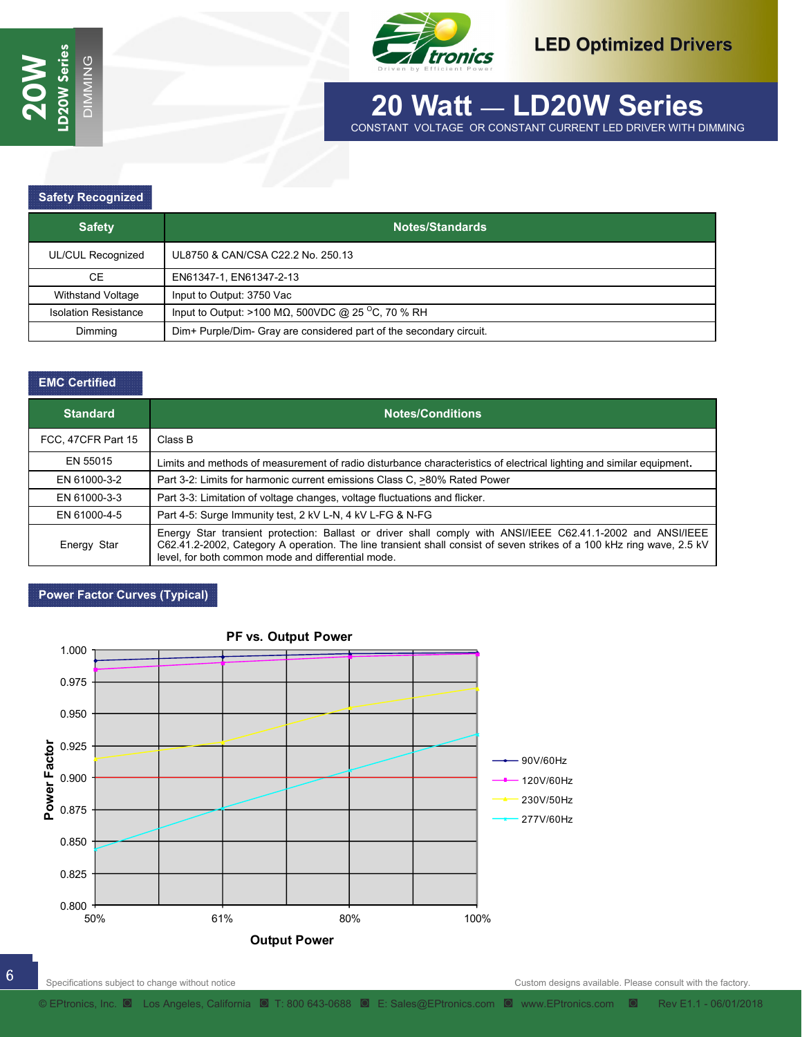

### **30 Watt - LD30W Series 20 Watt** — **LD20W Series** CONSTANT VOLTAGE OR CONSTANT CURRENT LED DRIVER WITH DIMMING

#### **Safety Recognized**

| <b>Safety</b>               | Notes/Standards \                                                   |
|-----------------------------|---------------------------------------------------------------------|
| UL/CUL Recognized           | UL8750 & CAN/CSA C22.2 No. 250.13                                   |
| CE.                         | EN61347-1, EN61347-2-13                                             |
| Withstand Voltage           | Input to Output: 3750 Vac                                           |
| <b>Isolation Resistance</b> | Input to Output: >100 M $\Omega$ , 500VDC @ 25 °C, 70 % RH          |
| Dimmina                     | Dim+ Purple/Dim- Gray are considered part of the secondary circuit. |

MING

#### **EMC Certified**

| <b>Standard</b>    | <b>Notes/Conditions</b>                                                                                                                                                                                                                                                                    |
|--------------------|--------------------------------------------------------------------------------------------------------------------------------------------------------------------------------------------------------------------------------------------------------------------------------------------|
| FCC, 47CFR Part 15 | Class B                                                                                                                                                                                                                                                                                    |
| EN 55015           | Limits and methods of measurement of radio disturbance characteristics of electrical lighting and similar equipment,                                                                                                                                                                       |
| EN 61000-3-2       | Part 3-2: Limits for harmonic current emissions Class C, >80% Rated Power                                                                                                                                                                                                                  |
| EN 61000-3-3       | Part 3-3: Limitation of voltage changes, voltage fluctuations and flicker.                                                                                                                                                                                                                 |
| EN 61000-4-5       | Part 4-5: Surge Immunity test, 2 kV L-N, 4 kV L-FG & N-FG                                                                                                                                                                                                                                  |
| Energy Star        | Energy Star transient protection: Ballast or driver shall comply with ANSI/IEEE C62.41.1-2002 and ANSI/IEEE<br>C62.41.2-2002, Category A operation. The line transient shall consist of seven strikes of a 100 kHz ring wave, 2.5 kV<br>level, for both common mode and differential mode. |

#### **Power Factor Curves (Typical)**

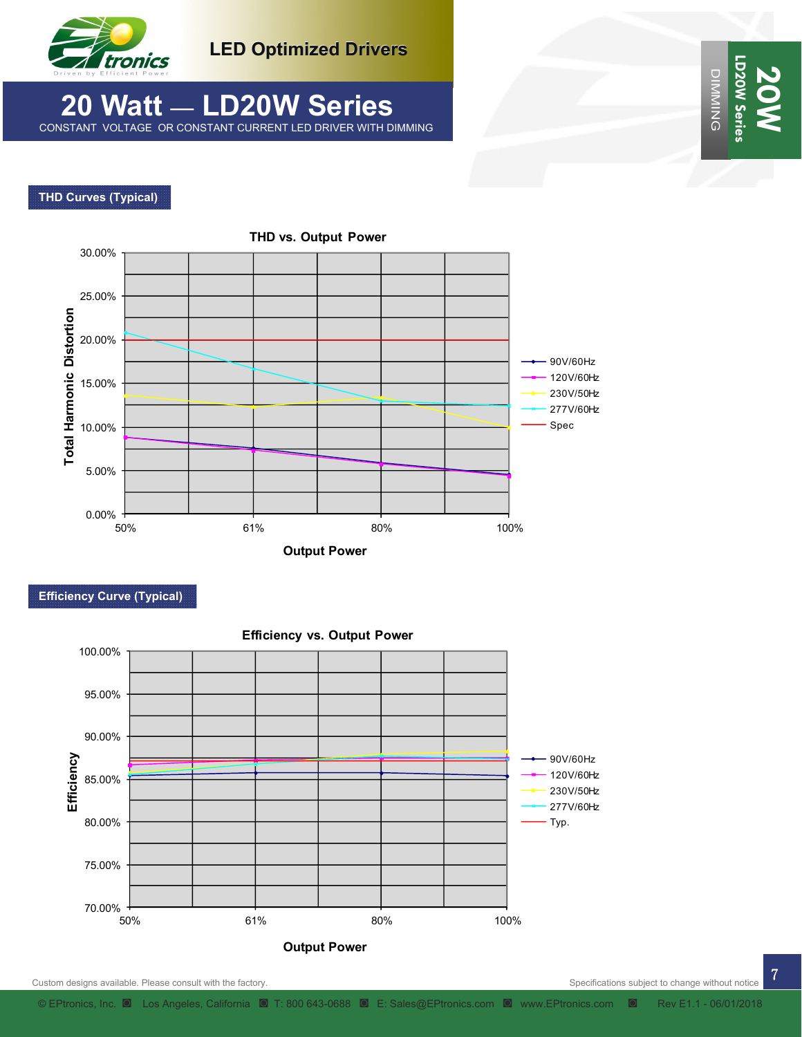

**LED Optimized Drivers**

### **20 Watt** — **LD20W Series** CONSTANT VOLTAGE OR CONSTANT CURRENT LED DRIVER WITH DIMMING

### **THD Curves (Typical)**



 **Efficiency Curve (Typical)** 



DIMMING

**LD20W Series** 

LD20W Ser **DIMMING** 

**20W**